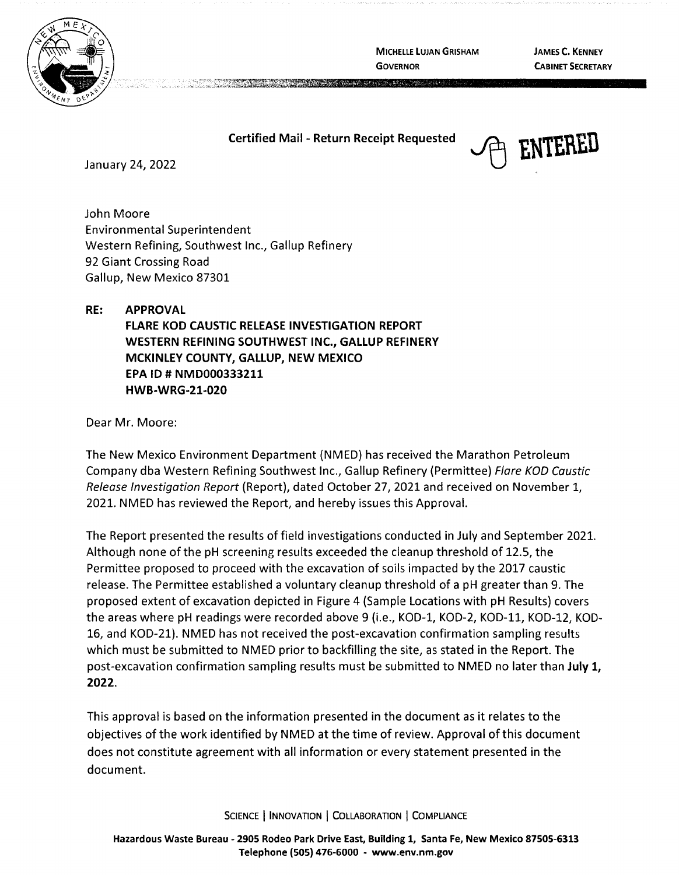

**MICHELLE LUJAN GRISHAM GOVERNOR** 

**JAMES C. KENNEY CABINET SECRETARY** 

## **Certified Mail - Return Receipt Requested FINTERED**<br>January 24, 2022

A CONTRACTOR COMPANY AND THE RESIDENCE OF A REAL PROPERTY OF A REAL PROPERTY OF A REAL PROPERTY.

John Moore Environmental Superintendent Western Refining, Southwest Inc., Gallup Refinery 92 Giant Crossing Road Gallup, New Mexico 87301

**RE: APPROVAL FLARE KOD CAUSTIC RELEASE INVESTIGATION REPORT WESTERN REFINING SOUTHWEST INC., GALLUP REFINERY MCKINLEY COUNTY, GALLUP, NEW MEXICO EPA ID# NMD000333211 HWB-WRG-21-020** 

Dear Mr. Moore:

The New Mexico Environment Department (NMED) has received the Marathon Petroleum Company dba Western Refining Southwest Inc., Gallup Refinery (Permittee) Flare KOO Caustic Release Investigation Report (Report), dated October 27, 2021 and received on November 1, 2021. NMED has reviewed the Report, and hereby issues this Approval.

The Report presented the results of field investigations conducted in July and September 2021. Although none of the pH screening results exceeded the cleanup threshold of 12.5, the Permittee proposed to proceed with the excavation of soils impacted by the 2017 caustic release. The Permittee established a voluntary cleanup threshold of a pH greater than 9. The proposed extent of excavation depicted in Figure 4 (Sample Locations with pH Results) covers the areas where pH readings were recorded above 9 (i.e., KOD-1, KOD-2, KOD-11, KOD-12, KOD-16, and KOD-21). NMED has not received the post-excavation confirmation sampling results which must be submitted to NMED prior to backfilling the site, as stated in the Report. The post-excavation confirmation sampling results must be submitted to NMED no later than **July 1, 2022.** 

This approval is based on the information presented in the document as it relates to the objectives of the work identified by NMED at the time of review. Approval of this document does not constitute agreement with all information or every statement presented in the document.

SCIENCE | INNOVATION | COLLABORATION | COMPLIANCE